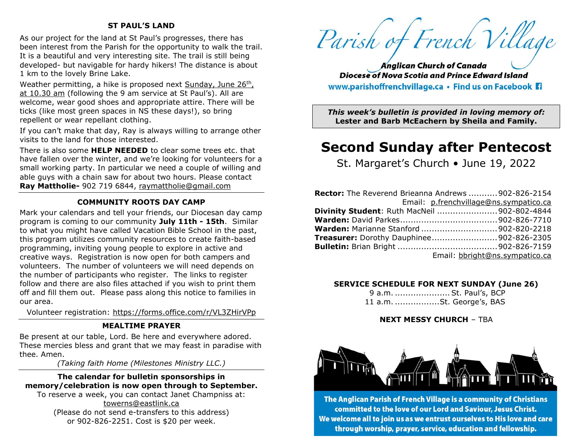#### **ST PAUL'S LAND**

As our project for the land at St Paul's progresses, there has been interest from the Parish for the opportunity to walk the trail. It is a beautiful and very interesting site. The trail is still being developed- but navigable for hardy hikers! The distance is about 1 km to the lovely Brine Lake.

Weather permitting, a hike is proposed next Sunday, June 26th, at 10.30 am (following the 9 am service at St Paul's). All are welcome, wear good shoes and appropriate attire. There will be ticks (like most green spaces in NS these days!), so bring repellent or wear repellant clothing.

If you can't make that day, Ray is always willing to arrange other visits to the land for those interested.

There is also some **HELP NEEDED** to clear some trees etc. that have fallen over the winter, and we're looking for volunteers for a small working party. In particular we need a couple of willing and able guys with a chain saw for about two hours. Please contact **Ray Mattholie-** 902 719 6844, [raymattholie@gmail.com](mailto:raymattholie@gmail.com)

#### **COMMUNITY ROOTS DAY CAMP**

Mark your calendars and tell your friends, our Diocesan day camp program is coming to our community **July 11th - 15th**. Similar to what you might have called Vacation Bible School in the past, this program utilizes community resources to create faith-based programming, inviting young people to explore in active and creative ways. Registration is now open for both campers and volunteers. The number of volunteers we will need depends on the number of participants who register. The links to register follow and there are also files attached if you wish to print them off and fill them out. Please pass along this notice to families in our area.

Volunteer registration: <https://forms.office.com/r/VL3ZHirVPp>

#### **MEALTIME PRAYER**

Be present at our table, Lord. Be here and everywhere adored. These mercies bless and grant that we may feast in paradise with thee. Amen.

*(Taking faith Home (Milestones Ministry LLC.)*

#### **The calendar for bulletin sponsorships in memory/celebration is now open through to September.**

To reserve a week, you can contact Janet Champniss at: [towerns@eastlink.ca](mailto:towerns@eastlink.ca) (Please do not send e-transfers to this address) or 902-826-2251. Cost is \$20 per week.

Parish of French Village

**Anglican Church of Canada Diocese of Nova Scotia and Prince Edward Island** www.parishoffrenchvillage.ca • Find us on Facebook Fi

*This week's bulletin is provided in loving memory of:* **Lester and Barb McEachern by Sheila and Family.**

# **Second Sunday after Pentecost**

St. Margaret's Church • June 19, 2022

| <b>Rector:</b> The Reverend Brieanna Andrews  902-826-2154 |
|------------------------------------------------------------|
| Email: p.frenchvillage@ns.sympatico.ca                     |
| Divinity Student: Ruth MacNeil  902-802-4844               |
|                                                            |
| <b>Warden:</b> Marianne Stanford 902-820-2218              |
| <b>Treasurer:</b> Dorothy Dauphinee902-826-2305            |
|                                                            |
| Email: bbright@ns.sympatico.ca                             |

#### **SERVICE SCHEDULE FOR NEXT SUNDAY (June 26)**

9 a.m. .....................St. Paul's, BCP 11 a.m. .................St. George's, BAS

#### **NEXT MESSY CHURCH** – TBA



The Anglican Parish of French Village is a community of Christians committed to the love of our Lord and Saviour, Jesus Christ. We welcome all to join us as we entrust ourselves to His love and care through worship, prayer, service, education and fellowship.